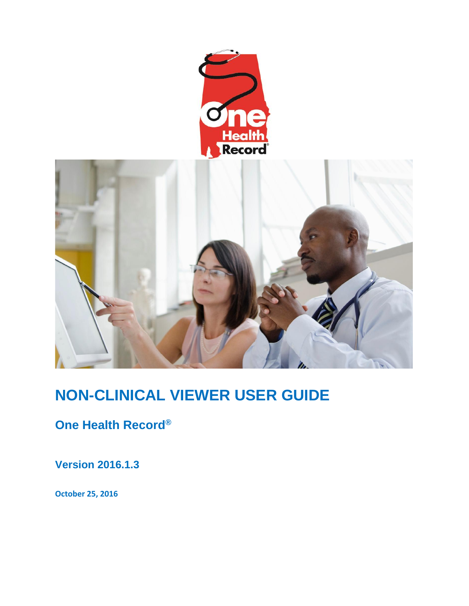



# **NON-CLINICAL VIEWER USER GUIDE**

**One Health Record®**

**Version 2016.1.3**

**October 25, 2016**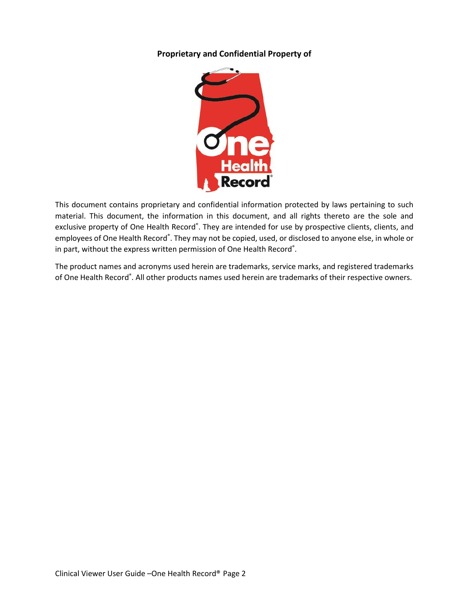#### **Proprietary and Confidential Property of**



This document contains proprietary and confidential information protected by laws pertaining to such material. This document, the information in this document, and all rights thereto are the sole and exclusive property of One Health Record®. They are intended for use by prospective clients, clients, and employees of One Health Record®. They may not be copied, used, or disclosed to anyone else, in whole or in part, without the express written permission of One Health Record $^{\circ}$ .

The product names and acronyms used herein are trademarks, service marks, and registered trademarks of One Health Record®. All other products names used herein are trademarks of their respective owners.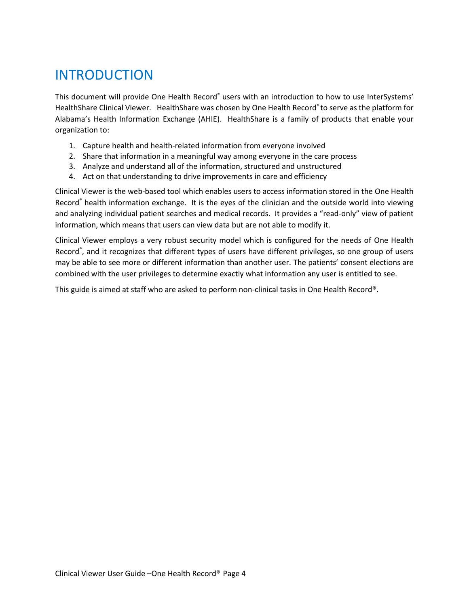# <span id="page-3-0"></span>INTRODUCTION

This document will provide One Health Record® users with an introduction to how to use InterSystems' HealthShare Clinical Viewer. HealthShare was chosen by One Health Record® to serve as the platform for Alabama's Health Information Exchange (AHIE). HealthShare is a family of products that enable your organization to:

- 1. Capture health and health-related information from everyone involved
- 2. Share that information in a meaningful way among everyone in the care process
- 3. Analyze and understand all of the information, structured and unstructured
- 4. Act on that understanding to drive improvements in care and efficiency

Clinical Viewer is the web-based tool which enables users to access information stored in the One Health Record<sup>®</sup> health information exchange. It is the eyes of the clinician and the outside world into viewing and analyzing individual patient searches and medical records. It provides a "read-only" view of patient information, which means that users can view data but are not able to modify it.

Clinical Viewer employs a very robust security model which is configured for the needs of One Health Record® , and it recognizes that different types of users have different privileges, so one group of users may be able to see more or different information than another user. The patients' consent elections are combined with the user privileges to determine exactly what information any user is entitled to see.

This guide is aimed at staff who are asked to perform non-clinical tasks in One Health Record®.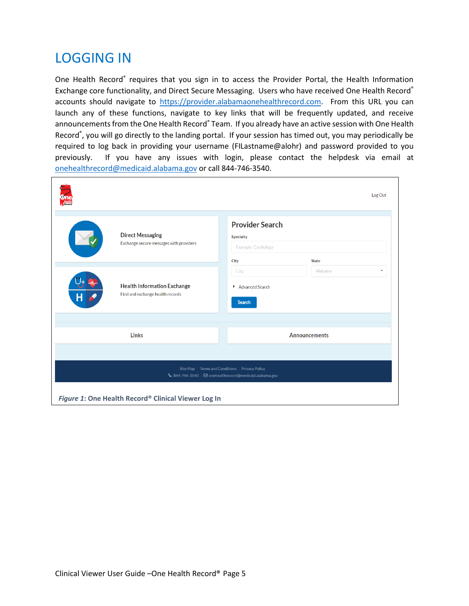#### <span id="page-4-0"></span>LOGGING IN

One Health Record® requires that you sign in to access the Provider Portal, the Health Information Exchange core functionality, and Direct Secure Messaging. Users who have received One Health Record® accounts should navigate to [https://provider.alabamaonehealthrecord.com.](https://provider.alabamaonehealthrecord.com/) From this URL you can launch any of these functions, navigate to key links that will be frequently updated, and receive announcements from the One Health Record® Team. If you already have an active session with One Health Record® , you will go directly to the landing portal. If your session has timed out, you may periodically be required to log back in providing your username (FILastname@alohr) and password provided to you previously. If you have any issues with login, please contact the helpdesk via email at [onehealthrecord@medicaid.alabama.gov](mailto:onehealthrecord@medicaid.alabama.gov) or call 844-746-3540.

<span id="page-4-1"></span>

| Recon                                                                       | Log Out                                                                                          |  |  |  |  |  |  |
|-----------------------------------------------------------------------------|--------------------------------------------------------------------------------------------------|--|--|--|--|--|--|
| <b>Direct Messaging</b><br>Exchange secure messages with providers          | <b>Provider Search</b><br><b>Specialty</b><br><b>Example: Cardiology</b><br>City<br><b>State</b> |  |  |  |  |  |  |
| <b>Health Information Exchange</b><br>Find and exchange health records<br>н | Alabama<br>City<br>$\overline{\phantom{a}}$<br>Advanced Search<br><b>Search</b>                  |  |  |  |  |  |  |
| Links                                                                       | Announcements                                                                                    |  |  |  |  |  |  |
| Site Map   Terms and Conditions   Privacy Policy                            |                                                                                                  |  |  |  |  |  |  |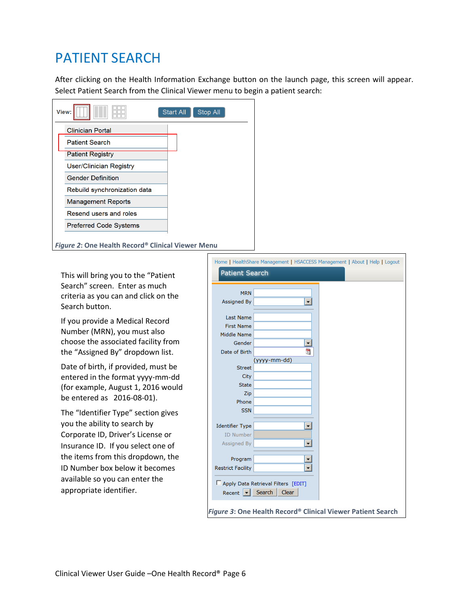### PATIENT SEARCH

After clicking on the Health Information Exchange button on the launch page, this screen will appear. Select Patient Search from the Clinical Viewer menu to begin a patient search:

| View: | H                              | <b>Start All</b> | Stop All |  |
|-------|--------------------------------|------------------|----------|--|
|       | <b>Clinician Portal</b>        |                  |          |  |
|       | <b>Patient Search</b>          |                  |          |  |
|       | <b>Patient Registry</b>        |                  |          |  |
|       | <b>User/Clinician Registry</b> |                  |          |  |
|       | <b>Gender Definition</b>       |                  |          |  |
|       | Rebuild synchronization data   |                  |          |  |
|       | <b>Management Reports</b>      |                  |          |  |
|       | Resend users and roles         |                  |          |  |
|       | <b>Preferred Code Systems</b>  |                  |          |  |
|       |                                |                  |          |  |

*Figure 2***: One Health Record® Clinical Viewer Menu**

This will bring you to the "Patient Search" screen. Enter as much criteria as you can and click on the Search button.

If you provide a Medical Record Number (MRN), you must also choose the associated facility from the "Assigned By" dropdown list.

Date of birth, if provided, must be entered in the format yyyy-mm-dd (for example, August 1, 2016 would be entered as 2016-08-01).

The "Identifier Type" section gives you the ability to search by Corporate ID, Driver's License or Insurance ID. If you select one of the items from this dropdown, the ID Number box below it becomes available so you can enter the appropriate identifier.

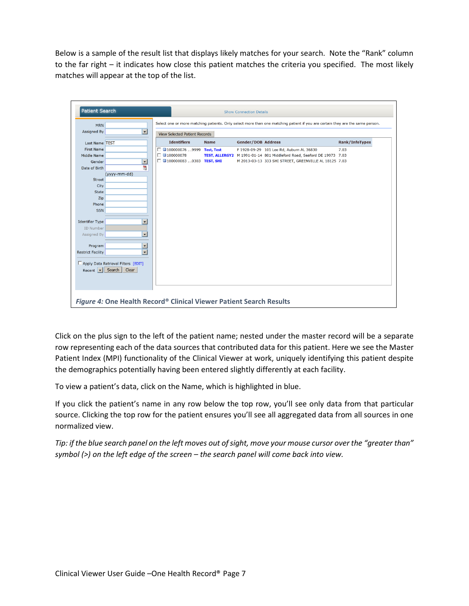Below is a sample of the result list that displays likely matches for your search. Note the "Rank" column to the far right – it indicates how close this patient matches the criteria you specified. The most likely matches will appear at the top of the list.

| <b>Patient Search</b>    |                                                                                                                               |                                      |                              | <b>Show Connection Details</b> |                           |                                                                        |                       |  |  |  |
|--------------------------|-------------------------------------------------------------------------------------------------------------------------------|--------------------------------------|------------------------------|--------------------------------|---------------------------|------------------------------------------------------------------------|-----------------------|--|--|--|
| <b>MRN</b>               | Select one or more matching patients. Only select more than one matching patient if you are certain they are the same person. |                                      |                              |                                |                           |                                                                        |                       |  |  |  |
| <b>Assigned By</b>       | $\blacktriangledown$                                                                                                          | <b>View Selected Patient Records</b> |                              |                                |                           |                                                                        |                       |  |  |  |
| <b>Last Name TEST</b>    |                                                                                                                               |                                      | <b>Identifiers</b>           | <b>Name</b>                    | <b>Gender/DOB Address</b> |                                                                        | <b>Rank/InfoTypes</b> |  |  |  |
| <b>First Name</b>        |                                                                                                                               |                                      | □ □100000076 9999 Test, Test |                                |                           | F 1928-09-29 101 Lee Rd, Auburn AL 36830                               | 7.03                  |  |  |  |
| Middle Name              |                                                                                                                               |                                      | $\Box$ 3100000078            |                                |                           | TEST, ALLERGY2 M 1991-01-14 801 Middleford Road, Seaford DE 19973 7.03 |                       |  |  |  |
| Gender                   | ↵                                                                                                                             |                                      | □ □100000083 0303 TEST, SHI  |                                |                           | M 2013-03-13 333 SHI STREET, GREENVILLE AL 18125 7.03                  |                       |  |  |  |
| Date of Birth            | Ħ                                                                                                                             |                                      |                              |                                |                           |                                                                        |                       |  |  |  |
|                          | (yyyy-mm-dd)                                                                                                                  |                                      |                              |                                |                           |                                                                        |                       |  |  |  |
| <b>Street</b>            |                                                                                                                               |                                      |                              |                                |                           |                                                                        |                       |  |  |  |
| City                     |                                                                                                                               |                                      |                              |                                |                           |                                                                        |                       |  |  |  |
| <b>State</b>             |                                                                                                                               |                                      |                              |                                |                           |                                                                        |                       |  |  |  |
| Zip                      |                                                                                                                               |                                      |                              |                                |                           |                                                                        |                       |  |  |  |
| Phone                    |                                                                                                                               |                                      |                              |                                |                           |                                                                        |                       |  |  |  |
| <b>SSN</b>               |                                                                                                                               |                                      |                              |                                |                           |                                                                        |                       |  |  |  |
|                          |                                                                                                                               |                                      |                              |                                |                           |                                                                        |                       |  |  |  |
| <b>Identifier Type</b>   | $\overline{\phantom{a}}$                                                                                                      |                                      |                              |                                |                           |                                                                        |                       |  |  |  |
| <b>ID Number</b>         |                                                                                                                               |                                      |                              |                                |                           |                                                                        |                       |  |  |  |
| Assigned By              | ⋥                                                                                                                             |                                      |                              |                                |                           |                                                                        |                       |  |  |  |
| Program                  | ⊻                                                                                                                             |                                      |                              |                                |                           |                                                                        |                       |  |  |  |
| <b>Restrict Facility</b> | $\overline{\phantom{0}}$                                                                                                      |                                      |                              |                                |                           |                                                                        |                       |  |  |  |
|                          |                                                                                                                               |                                      |                              |                                |                           |                                                                        |                       |  |  |  |
|                          | Apply Data Retrieval Filters [EDIT]                                                                                           |                                      |                              |                                |                           |                                                                        |                       |  |  |  |
| Recent $\bullet$ Search  | Clear                                                                                                                         |                                      |                              |                                |                           |                                                                        |                       |  |  |  |
|                          |                                                                                                                               |                                      |                              |                                |                           |                                                                        |                       |  |  |  |
|                          |                                                                                                                               |                                      |                              |                                |                           |                                                                        |                       |  |  |  |
|                          |                                                                                                                               |                                      |                              |                                |                           |                                                                        |                       |  |  |  |
|                          |                                                                                                                               |                                      |                              |                                |                           |                                                                        |                       |  |  |  |

Click on the plus sign to the left of the patient name; nested under the master record will be a separate row representing each of the data sources that contributed data for this patient. Here we see the Master Patient Index (MPI) functionality of the Clinical Viewer at work, uniquely identifying this patient despite the demographics potentially having been entered slightly differently at each facility.

To view a patient's data, click on the Name, which is highlighted in blue.

If you click the patient's name in any row below the top row, you'll see only data from that particular source. Clicking the top row for the patient ensures you'll see all aggregated data from all sources in one normalized view.

*Tip: if the blue search panel on the left moves out of sight, move your mouse cursor over the "greater than" symbol (>) on the left edge of the screen – the search panel will come back into view.*